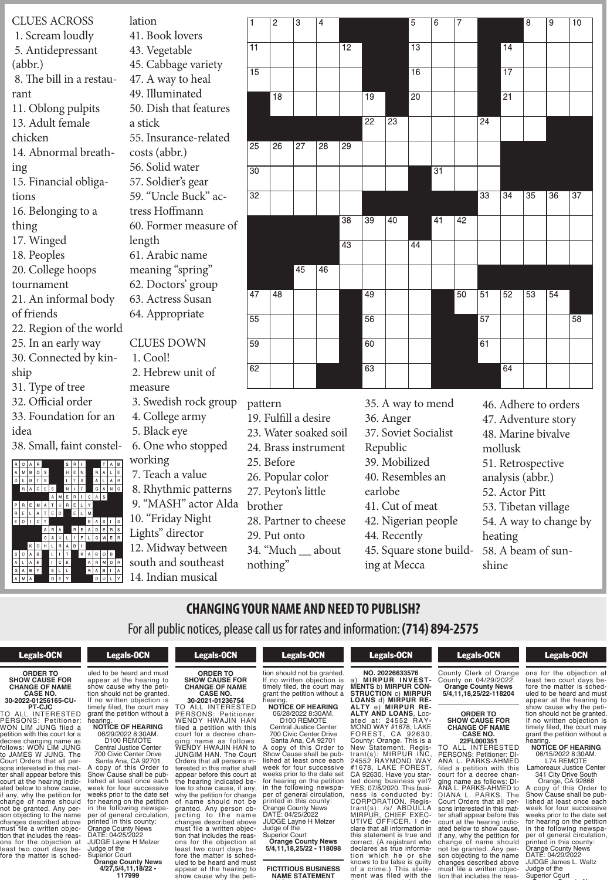CLUES ACROSS lation 1. Scream loudly 5. Antidepressant (abbr.) 8. The bill in a restaurant 11. Oblong pulpits 13. Adult female chicken 14. Abnormal breathing 15. Financial obligations 16. Belonging to a thing 17. Winged 18. Peoples 20. College hoops tournament 21. An informal body of friends 22. Region of the world 25. In an early way 30. Connected by kinship 31. Type of tree 32. Official order 33. Foundation for an idea 38. Small, faint constel- $|M|B|O|S$  $B$ <sup>T</sup> **ORDER TO**  $\begin{bmatrix} \text{S} \\ \text{S} \end{bmatrix}$  **CANGE C NO.** TED ELM E | D | I | C | T <del>To all interested and the second second</del> second and the second second second and the second second second second

**EXAUGE 8. Rhythmic patterns 30. "MASH" actor Alda Property** 10. "Friday Night PERSONS: Petitioner: Lights" director  $L$ |0|W|E|R|  $L$ 161 $\sim$  $\frac{1}{\text{Algebra}}$  12. Midway between  $\sqrt{g}$  would get  $\frac{A+B-M\circ B}{2}$  south and southeast Court Orders that all per- $\blacksquare$ 41. Book lovers 43. Vegetable 45. Cabbage variety 47. A way to heal 49. Illuminated 50. Dish that features a stick 55. Insurance-related costs (abbr.) 56. Solid water 57. Soldier's gear 59. "Uncle Buck" actress Hoffmann 60. Former measure of length 61. Arabic name meaning "spring" 62. Doctors' group 63. Actress Susan 64. Appropriate CLUES DOWN 1. Cool! 2. Hebrew unit of measure 3. Swedish rock group 4. College army 5. Black eye 6. One who stopped working 7. Teach a value

| $\overline{\mathbf{1}}$ | $\overline{2}$  | $\overline{3}$  | $\overline{4}$        |                 |                      |                 | $\overline{5}$  | $\overline{6}$  | 7  |                      |                 | $\overline{8}$  | $\overline{9}$  | $\overline{10}$ |
|-------------------------|-----------------|-----------------|-----------------------|-----------------|----------------------|-----------------|-----------------|-----------------|----|----------------------|-----------------|-----------------|-----------------|-----------------|
|                         |                 |                 |                       |                 |                      |                 |                 |                 |    |                      |                 |                 |                 |                 |
| $\overline{11}$         |                 |                 |                       | $\overline{12}$ |                      |                 | $\overline{13}$ |                 |    |                      | $\overline{14}$ |                 |                 |                 |
| $\overline{15}$         |                 |                 |                       |                 |                      |                 | $\overline{16}$ |                 |    |                      | $\overline{17}$ |                 |                 |                 |
|                         | $\overline{18}$ |                 |                       |                 | $\overline{19}$      |                 | $\overline{20}$ |                 |    |                      | $\overline{21}$ |                 |                 |                 |
|                         |                 |                 |                       |                 | $\overline{22}$      | $\overline{23}$ |                 |                 |    | $\overline{24}$      |                 |                 |                 |                 |
| $\overline{25}$         | $\overline{26}$ | $\overline{27}$ | $\overline{28}$       | $\overline{29}$ |                      |                 |                 |                 |    |                      |                 |                 |                 |                 |
| $\overline{30}$         |                 |                 |                       |                 |                      |                 |                 | $\overline{31}$ |    |                      |                 |                 |                 |                 |
| $\overline{32}$         |                 |                 |                       |                 |                      |                 |                 |                 |    | $\overline{33}$      | $\overline{34}$ | $\overline{35}$ | $\overline{36}$ | $\overline{37}$ |
|                         |                 |                 |                       | $\overline{38}$ | $\overline{39}$      | 40              |                 | 41              | 42 |                      |                 |                 |                 |                 |
|                         |                 |                 |                       | $\overline{43}$ |                      |                 | $\overline{44}$ |                 |    |                      |                 |                 |                 |                 |
|                         |                 | $\overline{45}$ | 46                    |                 |                      |                 |                 |                 |    |                      |                 |                 |                 |                 |
| 47                      | 48              |                 |                       |                 | 49                   |                 |                 |                 | 50 | $\overline{51}$      | 52              | 53              | $\overline{54}$ |                 |
| $\overline{55}$         |                 |                 |                       |                 | $\overline{56}$      |                 |                 |                 |    | $\overline{57}$      |                 |                 |                 | $\overline{58}$ |
| $\overline{59}$         |                 |                 |                       |                 | $\overline{60}$      |                 |                 |                 |    | $\overline{61}$      |                 |                 |                 |                 |
| $\overline{62}$         |                 |                 |                       |                 | 63                   |                 |                 |                 |    |                      | 64              |                 |                 |                 |
| pattern                 |                 |                 |                       |                 | 35. A way to mend    |                 |                 |                 |    | 46. Adhere to orders |                 |                 |                 |                 |
| 19. Fulfill a desire    |                 |                 |                       |                 | 36. Anger            |                 |                 |                 |    | 47. Adventure story  |                 |                 |                 |                 |
|                         |                 |                 | 23. Water soaked soil |                 | 37. Soviet Socialist |                 |                 |                 |    | 48. Marine bivalve   |                 |                 |                 |                 |

- 24. Brass instrument
- 25. Before
- **SHOW CAUSE FOR** 26. Popular color
- **CASE NO.** vton's little 27. Peyton's little
- brother:
- $H = \frac{1}{2}$ Partner to cheese 28. Partner to cheese
- $Put onto$ 29. Put onto
- $\mathcal{U}_{\Lambda}$  June 1. The Court 34. "Much \_\_ about
- $\vdots$  matrix matrix matrix  $\mathbf{r}$ nothing"  $\mathcal O$

45. Square stone build- 58. A be 37. Soviet Socialist Republic 39. Mobilized 40. Resembles an earlobe 41. Cut of meat 42. Nigerian people 44. Recently ing at Mecca

**ORDER TO 53.** Tibetan village  $\alpha$  change by **CASE NO.** MOND WAY #1678, LAKE TO ALL INTERESTED  $\mathcal{C}$  Persons in Petitioner:  $\mathcal{C}$  $58. A beam of sun$ filed a petition with this court for a decree chanmollusk **NAME STATEMENT** 51. Retrospective a) **MIRPUR INVEST-MENTS** b) **MIRPUR CON-**analysis (abbr.) **STRUCTION** c) **MIRPUR Local S2.** Acto **ALTY** e) **MIRPUR RE-**52. Actor Pitt 53. Tibetan village ople 54. A way to change by  $\Gamma$   $\sim$   $\Gamma$ heating  $\lambda$ -translation  $\lambda$ <sup>1</sup> #1678, LAKE FOREST, shine 48. Marine bivalve

#### **CHANGING YOUR NAME AND NEED TO PUBLISH?** of name should not be D NAME AND NEI n Iname and Inci

why the petition for change  $\mathcal{L}$ 

For all public notices, please call us for rates and information: (714) 894-2575  $2$  registration whose  $\mathcal{A}$  $\ln$ tic for ratec and **Example 1** For all public notices, please call us for rates and changes described above a pu

fore the matter is sched-

## Legals-OCN

KOHLRABI मन ग

#### **ORDER TO SHOW CAUSE FOR CHANGE OF NAME CASE NO. 30-2022-01256165-CU-**

**PT-CJC** TO ALL INTERESTED PERSONS: Petitioner: WON LIM JUNG filed a petition with this court for a decree changing name as follows: WON LIM JUNG to JAMES W JUNG. The Court Orders that all persons interested in this matter shall appear before this court at the hearing indicated below to show cause, if any, why the petition for change of name should not be granted. Any person objecting to the name changes described above<br>must file a written objection that includes the reasons for the objection at least two court days before the matter is sched $\overline{\phantom{a}}$  court days be**formation**<br>uled to be heard and must appear at the hearing to show cause why the petition should not be granted.

Legals-OCN

tion that includes the reasdens for the objection and the objection and the objection and the objection and the objection and the objection at  $\sim$ 

ter shall appear before this court at the hearing indic-

 $KABOB$ 

If no written objection is timely filed, the court may grant the petition without a hearing. **NOTICE OF HEARING** 06/29/2022 8:30AM.

D100 REMOTE Central Justice Center 700 Civic Center Drive

Santa Ana, CA 92701 A copy of this Order to<br>Show Cause shall be published at least once each week for four successive weeks prior to the date set for hearing on the petition in the following newspaper of general circulation, printed in this county: Orange County News DATE: 04/25/2022 JUDGE Layne H Melzer Judge of the

Superior Court **Orange County News 4/27,5/4,11,18/22 - 117999**

# Legals-OCN

**ORDER TO SHOW CAUSE FOR CHANGE OF NAME CASE NO. 30-2021-01236754** TO ALL INTERESTED PERSONS: Petitioner: WENDY HWAJIN HAN filed a petition with this court for a decree changing name as follows: WENDY HWAJIN HAN to JUNGIM HAN. The Court Orders that all persons interested in this matter shall appear before this court at the hearing indicated below to show cause, if any, why the petition for change of name should not be granted. Any person objecting to the name changes described above must file a written objection that includes the reasons for the objection at least two court days before the matter is scheduled to be heard and must appear at the hearing to show cause why the peti-

grant the petition without a

06/28/2022 8:30AM.

Central Justice Center 700 Civic Center Drive Santa Ana, CA 92701 A copy of this Order to Show Cause shall be published at least once each

D100 REMOTE

**NAME STATEMENT**

## **Legals-OCN**

**NAME STATEMENT NO. 20226633576** a) **MIRPUR INVEST-MENTS** b) **MIRPUR CON-STRUCTION** c) **MIRPUR LOANS** d) **MIRPUR RE-ALTY** e) **MIRPUR RE-ALTY AND LOANS**, Located at: 24552 RAY-MOND WAY #1678, LAKE FOREST, CA 92630. County: Orange. This is a New Statement. Registrant(s): MIRPUR INC, 24552 RAYMOND WAY #1678, LAKE FOREST, CA 92630. Have you started doing business yet? YES, 07/8/2020. This business is conducted by: CORPORATION. Registrant(s): /s/ ABDULLA MIRPUR, CHIEF EXEC-UTIVE OFFICER. I declare that all information in this statement is true and correct. (A registrant who declares as true informa-<br>tion which he or she knows to be false is guilty of a crime.) This statement was filed with the

## Legals-OCN  $\overline{\phantom{a}}$  contracts the contract of  $\overline{\phantom{a}}$ **County Clerk of Orange**

tion which he or she knows to be false in the false is guide to be false in the false is guide to be false in the false is guide to

ted doing business yet ness is conducted by: CORPORATION. Regis-

County on 04/29/2022. **Orange County News 5/4,11,18,25/22-118204**

#### **ORDER TO SHOW CAUSE FOR CHANGE OF NAME CASE NO. 22FL000351**

TO ALL INTERESTED PERSONS: Petitioner: DI-ANA L. PARKS-AHMED filed a petition with this court for a decree changing name as follows: DI-ANA L. PARKS-AHMED to DIANA L. PARKS. The Court Orders that all persons interested in this matter shall appear before this court at the hearing indicated below to show cause, if any, why the petition for change of name should not be granted. Any person objecting to the name changes described above must file a written objection that includes the reas-

#### Legals-OCN son objecting to the name changes described above a large description of the series of the series of the series of the series of the series of the series of the series of the series of the series of the series of the series of the series of the ser  $\frac{1}{2}$  which  $\frac{1}{2}$

ging name as follows: DI-ANA L. PARKS-AHMED to DIANA L. PARKS. The Court Orders that all per-

ons for the objection at least two court days before the matter is scheduled to be heard and must appear at the hearing to show cause why the petition should not be granted. If no written objection is timely filed, the court may grant the petition without a hearing.

#### **NOTICE OF HEARING** 06/15/2022 8:30AM.

L74 REMOTE Lamoreaux Justice Center 341 City Drive South

Orange, CA 92868 A copy of this Order to Show Cause shall be published at least once each week for four successive weeks prior to the date set for hearing on the petition in the following newspaper of general circulation, printed in this county: Orange County News DATE: 04/29/2022 JUDGE James L. Waltz

Judge of the<br>Superior Court **Orange County News**

hearing. **NOTICE OF HEARING**

week for four successive weeks prior to the date set for hearing on the petition in the following newspaper of general circulation, printed in this county: Orange County News DATE: 04/25/2022 JUDGE Layne H Melzer<br>Judge of the

Superior Court **Orange County News 5/4,11,18,25/22 - 118098**

**FICTITIOUS BUSINESS**

Legals-OCN uled to be heard and must be heard and must be heard and must be heard and must be heard and must be heard and  $\overline{\phantom{a}}$  and  $\overline{\phantom{a}}$ whion should not be granted.<br>If no written objection is<br>timely filed, the court may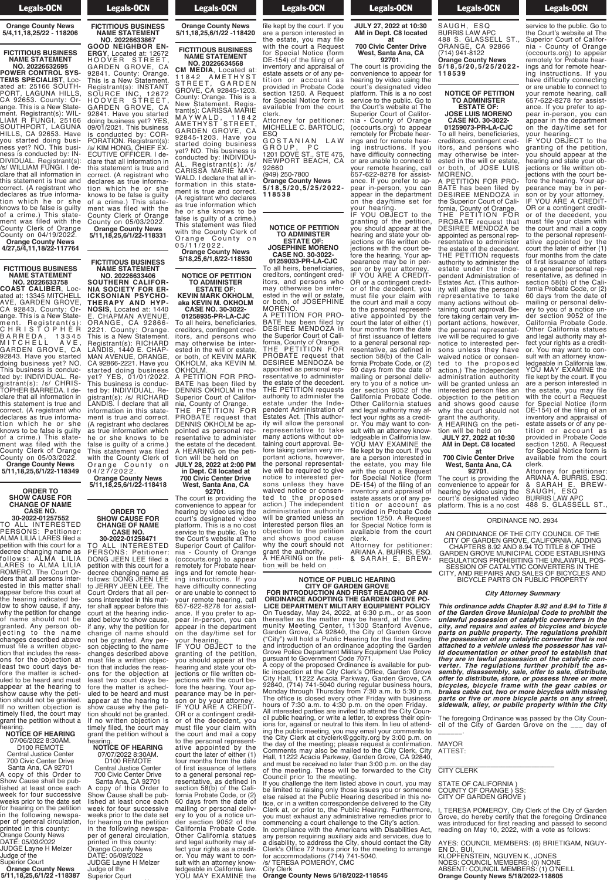#### Legals-OCN Judge of the

## **Orange County News 5/4,11,18,25/22 - 118206**

## **FICTITIOUS BUSINESS NAME STATEMENT**

**NO. 20226632695 POWER CONTROL SYS-TEMS SPECIALIST**, Located at: 25166 SOUTH-PORT, LAGUNA HILLS, CA 92653. County: Orange. This is a New Statement. Registrant(s): WIL-LIAM R FUNGI, 25166 SOUTHPORT, LAGUNA HILLS, CA 92653. Have you started doing business yet? NO. This business is conducted by: IN-DIVIDUAL. Registrant(s): /s/ WILLIAM FUNGI. I declare that all information in this statement is true and correct. (A registrant who declares`as true information which he or she knows to be false is guilty of a crime.) This statement was filed with the County Clerk of Orange County on 04/19/2022. **Orange County News 4/27,5/4,11,18/22-117764**

### **FICTITIOUS BUSINESS NAME STATEMENT**

**NO. 20226633758 COAST CALIBER**, Located at: 13345 MITCHELL AVE, GARDEN GROVE, CA 92843. County: Orange. This is a New Statement. Registrant(s): C H R I S T O P H E R B A R R E D A , 1 3 3 4 5 M I T C H E L L A V E , GARDEN GROVE, CA 92843. Have you started doing business yet? NO. This business is conducted by: INDIVIDUAL. Registrant(s): /s/ CHRIS-TOPHER BARREDA. I declare that all information in this statement is true and correct. (A registrant who declares as true information which he or she knows to be false is guilty of a crime.) This statement was filed with the County Clerk of Orange County on 05/03/2022. **Orange County News 5/11,18,25,6/1/22-118349**

#### **ORDER TO SHOW CAUSE FOR CHANGE OF NAME CASE NO. 30-2022-01257552**

TO ALL INTERESTED PERSONS: Petitioner: ALMA LILIA LARES filed a petition with this court for a decree changing name as follows: ALMA LILIA LARES to ALMA LILIA ROMERO. The Court Orders that all persons interested in this matter shall appear before this court at the hearing indicated below to show cause, if any, why the petition for change of name should not be granted. Any person objecting to the name changes described above must file a written objection that includes the reasons for the objection at least two court days before the matter is scheduled to be heard and must appear at the hearing to show cause why the petition should not be granted. If no written objection is timely filed, the court may grant the petition without a hearing. **NOTICE OF HEARING** 

## 07/06/2022 8:30AM. D100 REMOTE

Central Justice Center 700 Civic Center Drive Santa Ana, CA 92701 A copy of this Order to Show Cause shall be published at least once each week for four successive weeks prior to the date set for hearing on the petition in the following newspaper of general circulation, printed in this county: Orange County News DATE: 05/03/2022 JUDGE Layne H Melzer Judge of the

Superior Court **Orange County News 5/11,18,25,6/1/22 -118387**

# Legals-OCN

#### **FICTITIOUS BUSINESS NAME STATEMENT NO. 20226633867 GOOD NEIGHBOR EN-**

GARDEN GROVE, CA 92841. County: Orange. This is a New Statement. Registrant(s): INSTANT SOURCE INC, 12672 H O O V E R S T R E E T , GARDEN GROVE, CA 92841. Have you started doing business yet? YES, 09/01/2021. This business is conducted by: COR-PORATION. Registrant(s): /s/ KIM HONG, CHIEF EX-ECUTIVE OFFICER. I declare that all information in this statement is true and correct. (A registrant who declares as true information which he or she knows to be false is guilty of a crime.) This statement was filed with the County Clerk of Orange County on 05/03/2022. **Orange County News 5/11,18,25,6/1/22-118331**

**FICTITIOUS BUSINESS NAME STATEMENT NO. 20226633406 SOUTHERN CALIFOR-NIA SOCIETY FOR ER-ICKSONIAN PSYCHO-THERAPY AND HYP-NOSIS**, Located at: 1440 E. CHAPMAN AVENUE, ORANGE, CA 92866- 2221. County: Orange. This is a New Statement. Registrant(s): RICHARD LANDIS, 1440 E. CHAP-MAN AVENUE, ORANGE, CA 92866-2221. Have you started doing business yet? YES, 01/01/2022. This business is conducted by: INDIVIDUAL. Registrant(s): /s/ RICHARD LANDIS. I declare that all information in this statement is true and correct. (A registrant who declares as true information which he or she knows to be false is guilty of a crime.) This statement was filed with the County Clerk of Orange County on

**ERGY**, Located at: 12672 H O O V E R S T R E E T ,

**NO. 20226634568 CM MEDIA**, Located at: 11842 AMETHYST STREET, GARDEN GROVE, CA 92845-1203. County: Orange. This is a New Statement. Registrant(s): CARISSA MARIE M A Y W A L D , 1 1 8 4 2 AMETHYST STREET, GARDEN GROVE, CA 92845-1203. Have you started doing business yet? NO. This business is conducted by: INDIVIDU-AL. Registrant(s): /s/ CARISSA MARIE MAY-WALD. I declare that all information in this statement is true and correct. (A registrant who declares as true information which he or she knows to be false is guilty of a crime.) This statement was filed with the County Clerk of Orange County on

# 0 5 / 1 1 / 2 0 2 2 .

## **TO ADMINISTER ESTATE OF:**

**aka KEVIN M. OKHOLM CASE NO. 30-3022- 01258935-PR-LA-CJC** To all heirs, beneficiaries, creditors, contingent creditors, and persons who may otherwise be interested in the will or estate, or both, of KEVIN MARK OKHOLM, aka KEVIN M. OKHOLM. A PETITION FOR PRO-BATE has been filed by DENNIS OKHOLM in the Superior Court of California, County of Orange. THE PETITION FOR PROBATE request that

**in Dept. C8 located at**

0 4 / 2 7 / 2 0 2 2 . **Orange County News 5/11,18,25,6/1/22-118418**

#### **ORDER TO SHOW CAUSE FOR CHANGE OF NAME CASE NO. 30-2022-01258471**

TO ALL INTERESTED PERSONS: Petitioner: DONG JEEN LEE filed a petition with this court for a decree changing name as follows: DONG JEEN LEE to JERRY JEEN LEE. The Court Orders that all persons interested in this matter shall appear before this court at the hearing indicated below to show cause, if any, why the petition for change of name should not be granted. Any person objecting to the name changes described above must file a written objec-<br>tion that includes the reasons for the objection at least two court days before the matter is scheduled to be heard and must appear at the hearing to show cause why the petition should not be granted. If no written objection is timely filed, the court may grant the petition without a hearing.

#### **NOTICE OF HEARING** 07/07/2022 8:30AM. D100 REMOTE

Central Justice Center 700 Civic Center Drive Santa Ana, CA 92701

A copy of this Order to Show Cause shall be published at least once each week for four successive weeks prior to the date set for hearing on the petition in the following newspaper of general circulation, printed in this county: Orange County News DATE: 05/09/2022 JUDGE Layne H Melzer Judge of the Superior Court

## Judge of the **Orange County News 5/11,18,25,6/1/22 -118420**

**Legals-OCN** 

**FICTITIOUS BUSINESS NAME STATEMENT**

**Orange County News 5/18,25,6/1,8/22-118530**

# **NOTICE OF PETITION**

**KEVIN MARK OKHOLM,**

DENNIS OKHOLM be appointed as personal representative to administer the estate of the decedent. A HEARING on the petition will be held on **JULY 28, 2022 at 2:00 PM**

**700 Civic Center Drive West, Santa Ana, CA 92701**.

The court is providing the convenience to appear for hearing by video using the court's designated video platform. This is a no cost service to the public. Go to the Court's website at The Superior Court of California - County of Orange (occourts.org) to appear remotely for Probate hearings and for remote hearing instructions. If you have difficulty connecting or are unable to connect to your remote hearing, call 657-622-8278 for assistance. If you prefer to appear in-person, you can

appear in the department on the day/time set for your hearing. IF YOU OBJECT to the granting of the petition,<br>you should appear at the you should appear at the<br>hearing and state your objections or file written objections with the court before the hearing. Your appearance may be in person or by your attorney. IF YOU ARE A CREDIT-OR or a contingent creditor of the decedent, you must file your claim with the court and mail a copy to the personal represent-

ative appointed by the court the later of either (1) four months from the date of first issuance of letters to a general personal representative, as defined in section 58(b) of the California Probate Code, or (2) 60 days from the date of mailing or personal delivery to you of a notice under section 9052 of the California Probate Code. Other California statues and legal authority may affect your rights as a creditor. You may want to consult with an attorney knowledgeable in California law.

YOU MAY EXAMINE the

**Example 20 Legals-OCN** ledgen van California land You may be a strip of the state of the state of the state of the state of the state of the state of the state of the state of the state of the state of the state of the state of the state of the state of the state of the s

#### tion will be held on **JULY 27, 2022 at 10:30 AM in Dept. C8 located 700 Civic Center Drive** The court is providing the convenience to appear for hearing by video using the court's designated video platform. This is a no cost file kept by the court. If you are a person interested in the estate, you may file with the court a Request for Special Notice (form DE-154) of the filing of an inventory and appraisal of estate assets or of any petition or ac count a s provided in Probate Code section 1250. A Request

**Legals-OCN** where  $\alpha$  is the court should not court should not court should not could not  $\overline{\phantom{a}}$   $\overline{\phantom{a}}$   $\overline{\phantom{a}}$   $\overline{\phantom{a}}$ 

**at**

**West, Santa Ana, CA 92701**.

service to the public. Go to the Court's website at The Superior Court of California - County of Orange (occourts.org) to appear remotely for Probate hearings and for remote hearing instructions. If you have difficulty connecting or are unable to connect to your remote hearing, call 657-622-8278 for assistance. If you prefer to appear in-person, you can appear in the department on the day/time set for

your hearing.

IF YOU OBJECT to the granting of the petition, you should appear at the hearing and state your objections or file written objections with the court before the hearing. Your appearance may be in person or by your attorney. IF YOU ARE A CREDIT-OR or a contingent creditor of the decedent, you must file your claim with the court and mail a copy to the personal representative appointed by the court the later of either (1)

of first issuance of letters to a general personal rep-

section 58(b) of the California Probate Code, or (2) 60 days from the date of mailing or personal delivery to you of a notice under section 9052 of the California Probate Code.

and legal authority may affect your rights as a creditor. You may want to consult with an attorney knowledgeable in California law. YOU MAY EXAMINE the file kept by the court. If you are a person interested in the estate, you may file

provided in Probate Code section 1250. A Request for Special Notice form is

Attorney for petitioner: ARIANA A. BURRIS, ESQ. & SARAH E. BREW-

clerk. Attorney for petitioner: MICHELLE C. BARTOLIC, ESQ

for Special Notice form is available from the court

GOSTANIAN LAW G R O U P , P C 1201 DOVE ST., STE 475, NEWPORT BEACH, CA 92660

(949) 250-7800 **Orange County News 5 / 1 8 , 5 / 2 0 , 5 / 2 5 / 2 0 2 2 - 1 1 8 5 3 8**

#### **NOTICE OF PETITION TO ADMINISTER ESTATE OF: JOSEPHINE MORENO CASE NO. 30-3022-**

**01259033-PR-LA-CJC** To all heirs, beneficiaries,

creditors, contingent creditors, and persons who may otherwise be interested in the will or estate, or both, of JOSEPHINE MORENO. A PETITION FOR PRO-BATE has been filed by

four months from the date resentative, as defined in Other California statues available from the court DESIREE MENDOZA in the Superior Court of California, County of Orange. THE PETITION FOR PROBATE request that DESIREE MENDOZA be appointed as personal representative to administer the estate of the decedent. THE PETITION requests authority to administer the estate under the Independent Administration of Estates Act. (This authority will allow the personal representative to take many actions without obtaining court approval. Before taking certain very important actions, however, the personal representative will be required to give notice to interested persons unless they have waived notice or consented to the proposed action.) The independent administration authority will be granted unless an interested person files an objection to the petition and shows good cause why the court should not grant the authority. A HEARING on the petition will be held on

BURRIS LAW APC **ALIC HEARING** DEN GROVE **JULY 27, 2022 at 10:30 NOTICE OF B at**

clerk.

**NOTICE OF PUBLIC HEARING<br>CITY OF GARDEN GTOR INTRODUCTION AND FIRST READING OF AN<br>ORDINANCE ADOPTING THE GARDEN GROVE PO-<br>LICE DEPARTMENT MILITARY EQUIPMENT POLICY** On Tuesday, May 24, 2022, at 6:30 p.m., or as soon<br>thereafter as the matter may be heard, at the Com-<br>munity Meeting Center, 11300 Stanford Avenue,<br>Garden Grove, CA 92840, the City of Garden Grove<br>("City") will hold a Publ **FIRST READING OF .**<br>HE GARDEN GROVE I **5 / 1 8 , 5 / 2 0 , 5 / 2 5 / 2 0 2 2 - 0n Tuesday, May 24, 2022, at 6:30 700 COR INTRODUCTION RDINANCE ADOPTIN PARTM** thereafter as the matter i munity Meeting Center, Garden Grove, CA 92840 ("City") will hold a Public and introduction of an ord Grove Police Department M

pursuant to Government Code 7071.<br>A copy of the proposed Ordinance is available for pub-<br>lic inspection at the City Clerk's Office, Garden Grove<br>City Hall, 11222 Acacia Parkway, Garden Grove, CA<br>92840, (714) 741-5040 durin hours of 7:30 a.m. to 4:30 p.m. on the open Friday. All interested parties are invited to attend the City Council public hearing, or write a letter, to express their opin-<br>ions for, against or neutral to this item. In lieu of attend-<br>ing the public meeting, you may email your comments to<br>the City Clerk at cityclerk@ggcity.org by 3 pursuant to Government C<br>A copy of the proposed Or<br>lic inspection at the City C City Hall, 11222 Acacia F 92840, (714) 741-5040 du Mohday through Thursday<br>The office is closed every<br>hours of 7:30 a.m. to 4:30 All interested parties are in:<br>eil public bearing, er write r Gil public riearing, or write a ions for, against or neutral pear in the public meeting, you<br>Ino-City Clork at cityplark the Oity Olern at CityClern<br>the day of the meeting: nl the day of the meeting, pro<br>Comments may also be m Ourmients ma<br>Hall 11999 Ac I Iall, TTEEE ACACIA I AIRWE and must be received no ra or the meeting. These wi<br>Council prior to the meet

be limited to raising only those issues you or someone<br>else raised at the Public Hearing described in this no-<br>tice, or in a written correspondence delivered to the City<br>Clerk at, or prior to, the Public Hearing. Furthermo a disability, to address the City, should contact the City Clerk's Office 72 hours prior to the meeting to arrange for accommodations (714) 741-5040.<br>/s/ TERESA POMEROY, CMC<br>City Clerk obdition prior to the mode<br>If you challenge the item li n you onaliongo the filem in so immod to raiding only to<br>else raised at the Public F size these at the reason. noo, or max milion concept<br>Clerk at or prior to the F stormally or prior to missing.<br>Vour must exhaust any adj commencing a court chall In compliance with the Am any person requiring auxili a disability, to address the Clerk's Office 72 hours pri for accommodations (714) /s/ TERESA POMEROY, C City Clerk of either  $\sim$ 

**Orange County News 5/18/2022-118545** four months from the date of first issues that the first issues of letters in the letters of letters is used to be a state of letters of

#### **Example 1** Legals-OCN  $\overline{\phantom{a}}$   $\overline{\phantom{a}}$   $\overline{\phantom{a}}$   $\overline{\phantom{a}}$

#### SAUGH, ESQ BURRIS LAW APC 488 S. GLASSELL ST., ORANGE, CA 92866 (714) 941-8122 **Orange County News 5 / 1 8 , 5 / 2 0 , 5 / 2 5 / 2 0 2 2 - 1 1 8 5 3 9**

 $\overline{\phantom{a}}$ 

#### **NOTICE OF PETITION TO ADMINISTER ESTATE OF: JOSE LUIS MORENO**

**CASE NO. 30-3022- 01259073-PR-LA-CJC** To all heirs, beneficiaries, creditors, contingent creditors, and persons who may otherwise be interested in the will or estate,

or both, of JOSE LUIS MORENO. A PETITION FOR PRO-BATE has been filed by DESIREE MENDOZA in the Superior Court of California, County of Orange. THE PETITION FOR PROBATE request that DESIREE MENDOZA be appointed as personal representative to administer the estate of the decedent. THE PETITION requests authority to administer the estate under the Independent Administration of Estates Act. (This authority will allow the personal representative to take many actions without obtaining court approval. Before taking certain very important actions, however, the personal representative will be required to give notice to interested persons unless they have waived notice or consented to the proposed action.) The independent administration authority will be granted unless an interested person files an objection to the petition and shows good cause why the court should not grant the authority.

## A HEARING on the petition will be held on **JULY 27, 2022 at 10:30 AM in Dept. C8 located**

#### **at 700 Civic Center Drive West, Santa Ana, CA**

**92701**. The court is providing the convenience to appear for hearing by video using the court's designated video platform. This is a no cost with the court a Request for Special Notice (form DE-154) of the filing of an inventory and appraisal of estate assets or of any petition or ac count as

> **Orange County News** Superior Court of Califor-

AN ORDINANCE OF THE CITY COUNCIL OF THE CITY OF GARDEN GROVE, CALIFORNIA, ADDING<br>CHAPTERS 8.92 AND 8.94 TO TITLE 8 OF THE GARDEN GROVE MUNICIPAL CODE ESTABLISHING REGULATIONS PROHIBITING THE UNLAWFUL POS-SESSION OF CATALYTIC CONVERTERS IN THE CITY, AND REPAIRS AND SALES OF BICYCLES AND BICYCLE PARTS ON PUBLIC PROPERTY **5 / 1 8 , 5 / 2 0 , 5 / 2 5 / 2 0 2 2 - 1 1 8 5 4 0** AN ORDINANCE OF TH CITY OF GARDEN GROT **GARDEN GROVE MUNIC** REGULATIONS PROHIBIT SESSION OF CATALYT CITY, AND REPAIRS AND

#### *City Attorney Summary and City Attorn*

This ordinance adds Chapter 8.92 and 8.94 to Title 8<br>of the Garden Grove Municipal Code to prohibit the<br>unlawful possession of catalytic converters in the<br>city, and repairs and sales of bicycles and bicycle parts on public property. The regulations prohibit<br>the possession of any catalytic converter that is not<br>attached to a vehicle unless the possessor has valid documentation or other proof to establish that<br>they are in lawful possession of the catalytic con-<br>verter. The regulations further prohibit the as-<br>sembly, disassembly, sale, offer to sale, distribute,<br>offer to distribu pear in-person, you can This ordinance adds Cha of the Garden Grove Mui unlawful poss city, and repairs and sal parts on public property the possession of any ca attached to a vehicle uni id documentation or oti<br>they are in lawful posse<br>verter. The regulations sembly, disassembly, sa orrer to alstribute, store DICYCLES, DICYCLE ITAME Drakes cable cut, two or parts or tive or more bi sidewaik, alley, or publi

The foregoing Ordinance was passed by the City Coun-<br>cil of the City of Garden Grove on the \_\_\_ day of<br>\_\_\_\_\_\_.  $The *f*o<sub>co</sub>co<sub>in</sub> a *O*rdin<sub>on</sub>  $\omega$$ the luteguing Urumance will of the City of Garden at of the only of darder

MAYOR water:<br>ATTEST:

## **CITY CLERK**  $\sum_{i=1}^{n}$  or  $\sum_{i=1}^{n}$

#### STATE OF CALIFORNIA ) COUNTY OF ORANGE ) SS: CITY OF GARDEN GROVE) STATE OF CALIFORNIA) COUNTY OF ORANGE ) S der section 9052 of the

 $\overline{\phantom{a}}$  the later of either (1) and (1) and (1) and (1) and (1) and (1) and (1) and (1) and (1) and (1) and (1) and (1) and (1) and (1) and (1) and (1) and (1) and (1) and (1) and (1) and (1) and (1) and (1) and (1) a

 $\overline{\phantom{a}}$ 

I, TERESA POMEROY, City Clerk of the City of Garden Grove, do hereby certify that the foregoing Ordinance was introduced for first reading and passed to second reading on May 10, 2022, with a vote as follows: Grove, do hereby certify t was introduced for first rea reading on May 10, 2022,

AYES: COUNCIL MEMBERS: (6) BRIETIGAM, NGUYor. You may want to con-

EN D., BUI, KLOPFENSTEIN, NGUYEN K., JONES NOES: COUNCIL MEMBERS: (0) NONE ABSENT: COUNCIL MEMBERS: (1) O'NEILL **Orange County News 5/18/2022-118605** the estate, you mayfile EN D., BUI, KLOPFENSTEIN, NGUYEI NOES: COUNCIL MEMBEI ABSENT: COUNCIL MEME

**Example 1** Legals-OCN convenience to appear for the convenience to appear for the convenience of the convenience of the convenience of the convenience of the convenience of the convenience of the convenience of the convenience of the convenienc

service to the public. Go to the Court's website at The Superior Court of California - County of Orange (occourts.org) to appear remotely for Probate hearings and for remote hearing instructions. If you have difficulty connecting or are unable to connect to your remote hearing, call 657-622-8278 for assistance. If you prefer to appear in-person, you can appear in the department on the day/time set for

your hearing. IF YOU OBJECT to the granting of the petition, you should appear at the hearing and state your objections or file written objections with the court be-<br>fore the hearing. Your apfore the hearing. Your appearance may be in person or by your attorney. IF YOU ARE A CREDIT-OR or a contingent creditor of the decedent, you must file your claim with the court and mail a copy to the personal representative appointed by the court the later of either (1) four months from the date of first issuance of letters to a general personal representative, as defined in section 58(b) of the California Probate Code, or (2) 60 days from the date of mailing or personal delivery to you of a notice under section 9052 of the California Probate Code. Other California statues and legal authority may af-

fect your rights as a creditor. You may want to consult with an attorney knowledgeable in California law. YOU MAY EXAMINE the file kept by the court. If you are a person interested in the estate, you may file with the court a Request for Special Notice (form DE-154) of the filing of an

ORDINANCE NO. 2934 ORANGE, CA 92866 service to the public. Go to

inventory and appraisal of estate assets or of any petition or ac count a s provided in Probate Code section 1250. A Request for Special Notice form is available from the court<br>clerk. clerk.

Attorney for petitioner: ARIANA A. BURRIS, ESQ. & SARAH E. BREW-

SAUGH, ESQ BURRIS LAW APC 488 S. GLASSELL ST.,

 $\overline{\phantom{a}}$   $\overline{\phantom{a}}$  designations of  $\overline{\phantom{a}}$ platform. This is a non-terminal cost of the cost of the cost of the cost of the cost of the cost of the cost o<br>This is a non-terminal cost of the cost of the cost of the cost of the cost of the cost of the cost of the cos